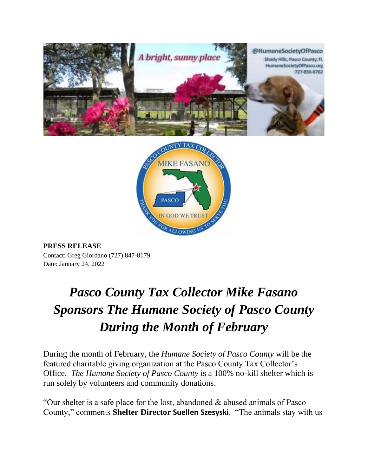



**PRESS RELEASE** Contact: Greg Giordano (727) 847-8179 Date: January 24, 2022

## *Pasco County Tax Collector Mike Fasano Sponsors The Humane Society of Pasco County During the Month of February*

During the month of February, the *Humane Society of Pasco County* will be the featured charitable giving organization at the Pasco County Tax Collector's Office. *The Humane Society of Pasco County* is a 100% no-kill shelter which is run solely by volunteers and community donations.

"Our shelter is a safe place for the lost, abandoned & abused animals of Pasco County," comments **Shelter Director Suellen Szesyski**. "The animals stay with us